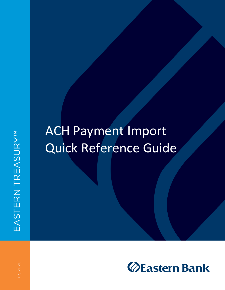# ACH Payment Import Quick Reference Guide

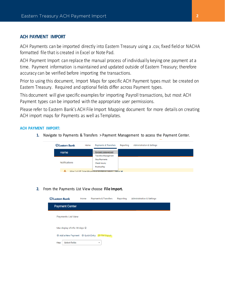## **ACH PAYMENT IMPORT**

ACH Payments can be imported directly into Eastern Treasury using a .csv, fixed field or NACHA formatted file that is created in Excel or Note Pad.

ACH Payment Import can replace the manual process of individually keying one payment at a time. Payment information is maintained and updated outside of Eastern Treasury; therefore accuracy can be verified before importing the transactions.

Prior to using this document, Import Maps for specific ACH Payment types must be created on Eastern Treasury. Required and optional fields differ across Payment types.

This document will give specific examples for importing Payroll transactions, but most ACH Payment types can be imported with the appropriate user permissions.

Please refer to Eastern Bank's ACH File Import Mapping document for more details on creating ACH import maps for Payments as well as Templates.

#### **ACH PAYMENT IMPORT:**

**1.** Navigate to Payments & Transfers > Payment Management to access the Payment Center.

| <b>ZEastern Bank</b> | Home | Payments & Transfers                                     | Reporting | Administration & Settings |
|----------------------|------|----------------------------------------------------------|-----------|---------------------------|
| Home                 |      | <b>Payment Management</b><br><b>Transfers Management</b> |           |                           |
| <b>Notifications</b> |      |                                                          |           |                           |
|                      |      | Wire Cut Off Time Moves to 4:30 PM on July 6             | More V    |                           |

#### **2.** From the Payments List View choose **File Import.**

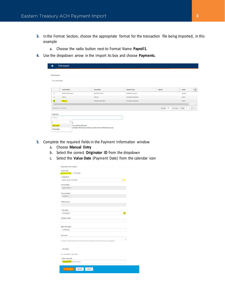- **3.** In the Format Section, choose the appropriate format for the transaction file being imported, in this example
	- a. Choose the radio button next to Format Name **Payroll1**.
- **4.** Use the dropdown arrow in the Import As box and choose **Payments.**

|                                         | File Import                               |                                                                   |                          |                                              |        |     |
|-----------------------------------------|-------------------------------------------|-------------------------------------------------------------------|--------------------------|----------------------------------------------|--------|-----|
| File Import<br><b>Format Section</b>    |                                           |                                                                   |                          |                                              |        |     |
|                                         | <b>Format Name</b>                        | <b>Description</b>                                                | <b>Payment Type</b>      | Agency                                       | Owner  | *   |
| $\circ$                                 | <b>NACHA File Import</b>                  | <b>NACHA Format</b>                                               | <b>NACHA File Import</b> |                                              | System |     |
| $\Omega$                                | Payroll                                   | Payroll                                                           | <b>Consumer Payments</b> |                                              | Client |     |
| $\bullet$                               | Payroll1                                  | Payroll Import QRG                                                | <b>Consumer Payments</b> |                                              | Client |     |
| Viewing 1-4 of 4 records<br>* Import As |                                           |                                                                   |                          | Display $10 -$ per page $\leq$ Page $1 -$ of |        | 1 > |
| -Select-                                |                                           | $\mathbf{v}$                                                      |                          |                                              |        |     |
| Payments<br>Templates                   | $\alpha$<br>łя<br>be visible to all users | er details will only be visible to users with Confidential access |                          |                                              |        |     |

- **5.** Complete the required fields in the Payment Information window
	- a. Choose **Manual Entry**
	- b. Select the correct **Originator ID** from the dropdown
	- c. Select the **Value Date** (Payment Date) from the calendar icon

| <b>Create From</b>                                                                                   |  |
|------------------------------------------------------------------------------------------------------|--|
| Manual Entry   Template                                                                              |  |
| * Originator ID                                                                                      |  |
| Eastern Demo 1-P043067<br>$\boldsymbol{\times}$                                                      |  |
| <b>ACH Company</b>                                                                                   |  |
| Eastern Demo 1                                                                                       |  |
| <b>Company Name</b>                                                                                  |  |
| P0430677                                                                                             |  |
|                                                                                                      |  |
| <b>Offset Account</b>                                                                                |  |
|                                                                                                      |  |
| * Value Date                                                                                         |  |
| 07/06/2020                                                                                           |  |
| <b>Batch Description</b>                                                                             |  |
| <b>CONSUMER</b>                                                                                      |  |
| <b>Comments</b>                                                                                      |  |
|                                                                                                      |  |
| Information in the Comments Field is stored with the transaction, but not forwarded with the payment |  |
|                                                                                                      |  |
| <b>File Section</b>                                                                                  |  |
|                                                                                                      |  |
|                                                                                                      |  |
| □ Load the file in test mode.                                                                        |  |
| * Select Import File                                                                                 |  |
| Choose File No file chosen                                                                           |  |
|                                                                                                      |  |
| $\sqrt{\phantom{a}}$ File Import<br>Refresh<br>Cancel                                                |  |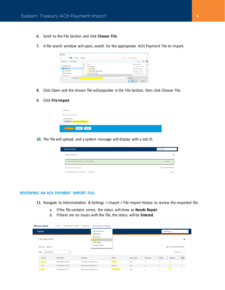- **6.** Scroll to the File Section and click **Choose File**
- **7.** A file search window will open, search for the appropriate ACH Payment File to Import.

| <b>O</b> Open                                           |                                          |                                     | $\times$          |
|---------------------------------------------------------|------------------------------------------|-------------------------------------|-------------------|
| $\leftarrow$<br>个<br>$\rightarrow$<br>$\omega$<br>a a s | This PC > Desktop                        | Õ<br>Search Desktop<br>$\checkmark$ | a                 |
| Organize v<br>New folder                                |                                          | BE +                                | ഭ<br>п            |
|                                                         | Name                                     | Date modified                       | Type <sup>A</sup> |
| <b>Duick access</b><br>$\checkmark$                     | Training                                 | 6/11/2020 4:53 PM                   | File              |
| Desktop                                                 | $\overrightarrow{x}$<br><b>Templates</b> | 6/9/2020 4:28 PM                    | File              |
| Downloads                                               | À<br><b>DGB Ticket Attachments</b>       | 6/9/2020 12:15 PM                   | File              |
| Documents                                               | <b>ACH-Same Dav</b><br>$\mathcal{R}$     | 3/17/2020 3:10 PM                   | File v            |
| Dictionary                                              | $\sim$ $\vee$ $\leq$                     |                                     | $\mathbf{r}$      |
| File name:                                              |                                          | <b>All Files</b><br>$\checkmark$    | $\checkmark$      |

- **8.** Click Open and the chosen file will populate in the File Section, then click Choose File.
- **9.** Click **File Import**.

| <b>File Section</b>                                           |  |
|---------------------------------------------------------------|--|
| Load the file in test mode.                                   |  |
| * Select Import File<br>Choose File   ACH Payment ORG Map.csv |  |
| $\checkmark$ File Import<br>Refresh<br>Cancel                 |  |

**10.** The file will upload, and a system message will display with a Job ID.

| <b>Payment Center</b>                             | Add Widget                      |   |
|---------------------------------------------------|---------------------------------|---|
| Payments List View                                |                                 | 森 |
| √ SuccessFile queued for import. Job ID is 89590. | $\land$ Details<br>$\mathbb{R}$ |   |
| Max display of info: 90 days @                    | C 07/03/2020 03:27 PM           |   |
|                                                   | $A^{\circ}$                     |   |

#### **REVIEWING AN ACH PAYMENT IMPORT FILE:**

- **11.** Navigate to Administration & Settings > Import > File Import History to review the imported file.
	- a. If the file contains errors, the status will show as **Needs Repair**.
	- b. If there are no issues with the file, the status will be **Entered**.

| <b>ZEastern Bank</b>                             | Home               | <b>Payments &amp; Transfers</b> | Reporting                      | <b>Administration &amp; Settings</b>           |               |                    |           |                         |                                        |              |
|--------------------------------------------------|--------------------|---------------------------------|--------------------------------|------------------------------------------------|---------------|--------------------|-----------|-------------------------|----------------------------------------|--------------|
| Import                                           |                    |                                 |                                | <b>User Maintenance</b><br>Preferences         |               |                    |           |                         | Add Widget                             | $\checkmark$ |
| File Import History                              |                    |                                 |                                | Payee Center<br>Import<br><b>Alerts Center</b> |               |                    |           |                         |                                        | ₩            |
| Export <b>B</b> Print<br>Select fields<br>Filter |                    | ۰                               |                                | Audit Information                              |               |                    |           |                         | C 07/03/2020 03:54 PM<br>All Imports v |              |
| <b>Actions</b>                                   | <b>Import Date</b> |                                 | <b>File Name</b>               |                                                | <b>Status</b> | <b>Import Type</b> | Processed | Created                 | Rejected                               | Egors        |
| View -                                           |                    | 07/03/2020 15:28:05             | <b>ACH Payment ORG Map.csv</b> |                                                | Entered       | <b>ACH</b>         | 4         | 4                       | 0                                      |              |
| View                                             |                    | 07/03/2020 11:56:27             | <b>ACH Payment ORG Map.csv</b> |                                                | Entered       | ACH                | 4         | $\overline{4}$          | $\mathbf{0}$                           |              |
| View                                             |                    | 07/03/2020 11:53:11             | <b>ACH Payment ORG Map.csv</b> |                                                | Needs Repair  | <b>ACH</b>         | 4         | $\overline{\mathbf{3}}$ | $\sim$                                 |              |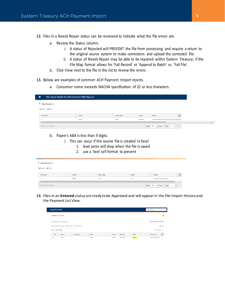**12.** Files in a Needs Repair status can be reviewed to indicate what the file errors are.

- a. Review the Status column.
	- i. A status of Rejected will PREVENT the file from processing and require a return to the original source system to make corrections and upload the corrected file.
	- ii. A status of Needs Repair may be able to be repaired within Eastern Treasury; if the File Map format allows for 'Fail Record' or 'Append to Batch' vs. 'Fail File'.
- b. Click View next to the file in the list to review the errors.
- **13.** Below are examples of common ACH Payment Import rejects.
	- a. Consumer name exceeds NACHA specification of 22 or less characters.

| ◆ | File Import Details for ACH Payment ORG Map.csv |        |                    |               |                                                                                 |   |
|---|-------------------------------------------------|--------|--------------------|---------------|---------------------------------------------------------------------------------|---|
|   | $\blacktriangleright$ Failed Records (1)        |        |                    |               |                                                                                 |   |
|   | Export <b>B</b> Print                           |        |                    |               |                                                                                 |   |
|   | Record No.                                      | Job ID | <b>Import Type</b> | <b>Status</b> | Reason                                                                          | * |
|   |                                                 | 89538  | ACH                | Rejected      | Consumer Name field value [Test Payroll Exceeds 2                               |   |
|   |                                                 |        |                    |               | Consumer Name field value [ Test Payroll Exceeds 22 ] exceeds maximum length 22 |   |
|   | Viewing 1-1 of 1 records                        |        |                    |               | Display 50 $\bullet$ per page c Page 1 $\bullet$ of 1                           |   |

b. Payee's ABA is less than 9 digits.

ſ

- i. This can occur if the source file is created In Excel
	- 1. lead zeros will drop when the file is saved
	- 2. use a 'text' cell format to prevent

| $\blacktriangleright$ Failed Records (1) |        |                    |               |                                                                         |   |
|------------------------------------------|--------|--------------------|---------------|-------------------------------------------------------------------------|---|
| Export <b>B</b> Print                    |        |                    |               |                                                                         |   |
| Record No.                               | Job ID | <b>Import Type</b> | <b>Status</b> | Reason                                                                  | * |
| 5                                        | 89540  | <b>ACH</b>         | Error         | The ABA must be 9 digits.                                               |   |
|                                          |        |                    |               |                                                                         |   |
| Viewing 1-1 of 1 records                 |        |                    |               | Display 50 $\bullet$ per page $\langle$ Page 1 $\bullet$ of 1 $\rangle$ |   |

**14.** Files in an **Entered** status are ready to be Approved and will appear in the File Import History and the Payment List View.

| <b>Payment Center</b>                               |              |          |                   |               | Add Widget               | $\checkmark$      |
|-----------------------------------------------------|--------------|----------|-------------------|---------------|--------------------------|-------------------|
| Payments List View                                  |              |          |                   |               |                          | 烧                 |
| Max display of info: 90 days @                      |              |          |                   |               | C 07/06/2020 12:06 PM    |                   |
|                                                     |              |          |                   |               |                          | $A$ $\rightarrow$ |
| <b>Select fields</b><br>Filter<br>$\cdot$           |              |          |                   |               | All Payments v           |                   |
| $\Box$ All<br><b>Actions</b><br><b>From Account</b> | Payee        | Amount   | <b>Value Date</b> | <b>Status</b> | Payment Type             | ₩                 |
| $\Box$<br>View -                                    | <b>MULTI</b> | 1,380.25 | 07/06/2020        | Entered       | <b>Consumer Payments</b> |                   |